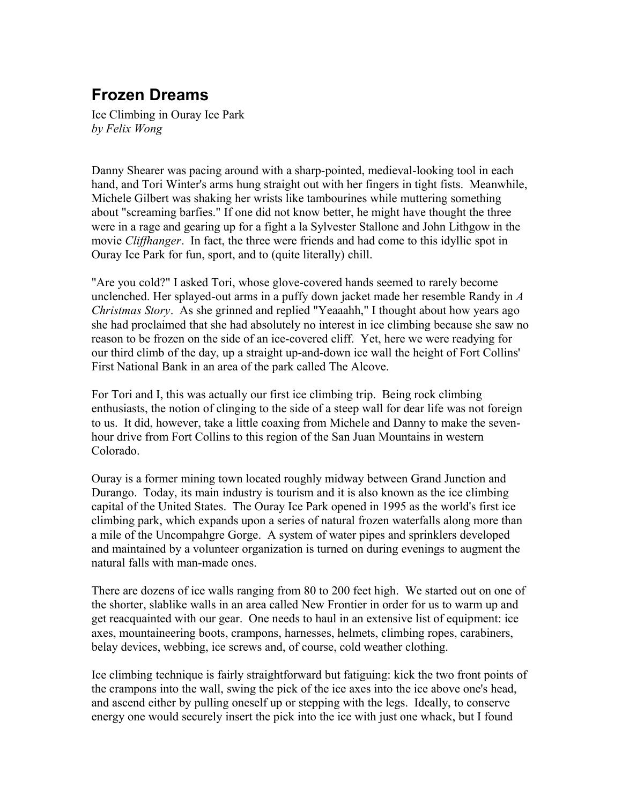## **Frozen Dreams**

Ice Climbing in Ouray Ice Park *by Felix Wong*

Danny Shearer was pacing around with a sharp-pointed, medieval-looking tool in each hand, and Tori Winter's arms hung straight out with her fingers in tight fists. Meanwhile, Michele Gilbert was shaking her wrists like tambourines while muttering something about "screaming barfies." If one did not know better, he might have thought the three were in a rage and gearing up for a fight a la Sylvester Stallone and John Lithgow in the movie *Cliffhanger*. In fact, the three were friends and had come to this idyllic spot in Ouray Ice Park for fun, sport, and to (quite literally) chill.

"Are you cold?" I asked Tori, whose glove-covered hands seemed to rarely become unclenched. Her splayed-out arms in a puffy down jacket made her resemble Randy in *A Christmas Story*. As she grinned and replied "Yeaaahh," I thought about how years ago she had proclaimed that she had absolutely no interest in ice climbing because she saw no reason to be frozen on the side of an ice-covered cliff. Yet, here we were readying for our third climb of the day, up a straight up-and-down ice wall the height of Fort Collins' First National Bank in an area of the park called The Alcove.

For Tori and I, this was actually our first ice climbing trip. Being rock climbing enthusiasts, the notion of clinging to the side of a steep wall for dear life was not foreign to us. It did, however, take a little coaxing from Michele and Danny to make the sevenhour drive from Fort Collins to this region of the San Juan Mountains in western Colorado.

Ouray is a former mining town located roughly midway between Grand Junction and Durango. Today, its main industry is tourism and it is also known as the ice climbing capital of the United States. The Ouray Ice Park opened in 1995 as the world's first ice climbing park, which expands upon a series of natural frozen waterfalls along more than a mile of the Uncompahgre Gorge. A system of water pipes and sprinklers developed and maintained by a volunteer organization is turned on during evenings to augment the natural falls with man-made ones.

There are dozens of ice walls ranging from 80 to 200 feet high. We started out on one of the shorter, slablike walls in an area called New Frontier in order for us to warm up and get reacquainted with our gear. One needs to haul in an extensive list of equipment: ice axes, mountaineering boots, crampons, harnesses, helmets, climbing ropes, carabiners, belay devices, webbing, ice screws and, of course, cold weather clothing.

Ice climbing technique is fairly straightforward but fatiguing: kick the two front points of the crampons into the wall, swing the pick of the ice axes into the ice above one's head, and ascend either by pulling oneself up or stepping with the legs. Ideally, to conserve energy one would securely insert the pick into the ice with just one whack, but I found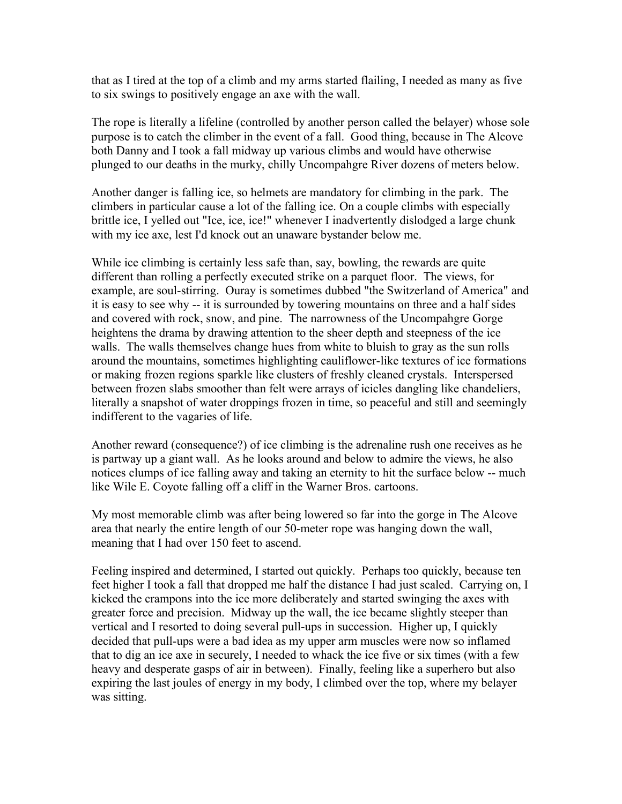that as I tired at the top of a climb and my arms started flailing, I needed as many as five to six swings to positively engage an axe with the wall.

The rope is literally a lifeline (controlled by another person called the belayer) whose sole purpose is to catch the climber in the event of a fall. Good thing, because in The Alcove both Danny and I took a fall midway up various climbs and would have otherwise plunged to our deaths in the murky, chilly Uncompahgre River dozens of meters below.

Another danger is falling ice, so helmets are mandatory for climbing in the park. The climbers in particular cause a lot of the falling ice. On a couple climbs with especially brittle ice, I yelled out "Ice, ice, ice!" whenever I inadvertently dislodged a large chunk with my ice axe, lest I'd knock out an unaware bystander below me.

While ice climbing is certainly less safe than, say, bowling, the rewards are quite different than rolling a perfectly executed strike on a parquet floor. The views, for example, are soul-stirring. Ouray is sometimes dubbed "the Switzerland of America" and it is easy to see why -- it is surrounded by towering mountains on three and a half sides and covered with rock, snow, and pine. The narrowness of the Uncompahgre Gorge heightens the drama by drawing attention to the sheer depth and steepness of the ice walls. The walls themselves change hues from white to bluish to gray as the sun rolls around the mountains, sometimes highlighting cauliflower-like textures of ice formations or making frozen regions sparkle like clusters of freshly cleaned crystals. Interspersed between frozen slabs smoother than felt were arrays of icicles dangling like chandeliers, literally a snapshot of water droppings frozen in time, so peaceful and still and seemingly indifferent to the vagaries of life.

Another reward (consequence?) of ice climbing is the adrenaline rush one receives as he is partway up a giant wall. As he looks around and below to admire the views, he also notices clumps of ice falling away and taking an eternity to hit the surface below -- much like Wile E. Coyote falling off a cliff in the Warner Bros. cartoons.

My most memorable climb was after being lowered so far into the gorge in The Alcove area that nearly the entire length of our 50-meter rope was hanging down the wall, meaning that I had over 150 feet to ascend.

Feeling inspired and determined, I started out quickly. Perhaps too quickly, because ten feet higher I took a fall that dropped me half the distance I had just scaled. Carrying on, I kicked the crampons into the ice more deliberately and started swinging the axes with greater force and precision. Midway up the wall, the ice became slightly steeper than vertical and I resorted to doing several pull-ups in succession. Higher up, I quickly decided that pull-ups were a bad idea as my upper arm muscles were now so inflamed that to dig an ice axe in securely, I needed to whack the ice five or six times (with a few heavy and desperate gasps of air in between). Finally, feeling like a superhero but also expiring the last joules of energy in my body, I climbed over the top, where my belayer was sitting.